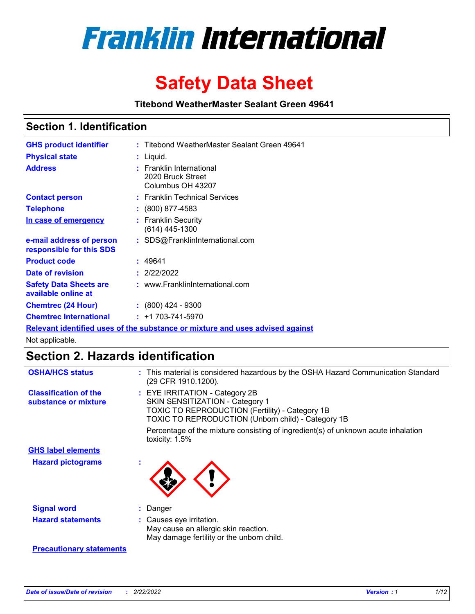

# **Safety Data Sheet**

**Titebond WeatherMaster Sealant Green 49641**

### **Section 1. Identification**

| <b>GHS product identifier</b>                                                 |  | : Titebond WeatherMaster Sealant Green 49641                       |  |  |  |
|-------------------------------------------------------------------------------|--|--------------------------------------------------------------------|--|--|--|
| <b>Physical state</b>                                                         |  | : Liquid.                                                          |  |  |  |
| <b>Address</b>                                                                |  | : Franklin International<br>2020 Bruck Street<br>Columbus OH 43207 |  |  |  |
| <b>Contact person</b>                                                         |  | : Franklin Technical Services                                      |  |  |  |
| <b>Telephone</b>                                                              |  | $\colon$ (800) 877-4583                                            |  |  |  |
| In case of emergency                                                          |  | : Franklin Security<br>(614) 445-1300                              |  |  |  |
| e-mail address of person<br>responsible for this SDS                          |  | : SDS@FranklinInternational.com                                    |  |  |  |
| <b>Product code</b>                                                           |  | : 49641                                                            |  |  |  |
| Date of revision                                                              |  | : 2/22/2022                                                        |  |  |  |
| <b>Safety Data Sheets are</b><br>available online at                          |  | : www.FranklinInternational.com                                    |  |  |  |
| <b>Chemtrec (24 Hour)</b>                                                     |  | : (800) 424 - 9300                                                 |  |  |  |
| <b>Chemtrec International</b>                                                 |  | $: +1703 - 741 - 5970$                                             |  |  |  |
| Relevant identified uses of the substance or mixture and uses advised against |  |                                                                    |  |  |  |

Not applicable.

## **Section 2. Hazards identification**

| <b>OSHA/HCS status</b>                               | : This material is considered hazardous by the OSHA Hazard Communication Standard<br>(29 CFR 1910.1200).                                                                                 |
|------------------------------------------------------|------------------------------------------------------------------------------------------------------------------------------------------------------------------------------------------|
| <b>Classification of the</b><br>substance or mixture | : EYE IRRITATION - Category 2B<br>SKIN SENSITIZATION - Category 1<br><b>TOXIC TO REPRODUCTION (Fertility) - Category 1B</b><br><b>TOXIC TO REPRODUCTION (Unborn child) - Category 1B</b> |
|                                                      | Percentage of the mixture consisting of ingredient(s) of unknown acute inhalation<br>toxicity: $1.5\%$                                                                                   |
| <b>GHS label elements</b>                            |                                                                                                                                                                                          |
| <b>Hazard pictograms</b>                             |                                                                                                                                                                                          |
| <b>Signal word</b>                                   | : Danger                                                                                                                                                                                 |
| <b>Hazard statements</b>                             | : Causes eye irritation.<br>May cause an allergic skin reaction.<br>May damage fertility or the unborn child.                                                                            |
| <b>Precautionary statements</b>                      |                                                                                                                                                                                          |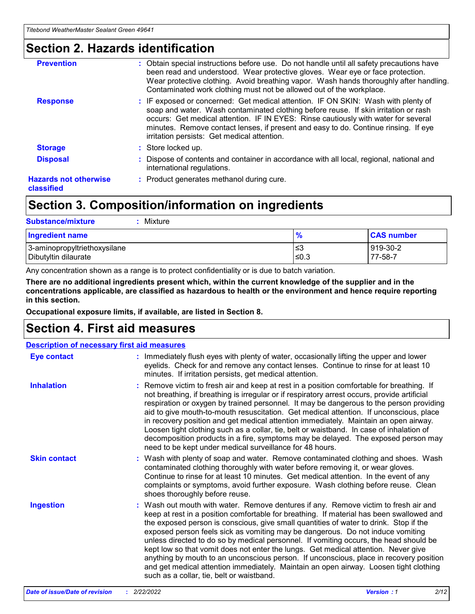### **Section 2. Hazards identification**

| <b>Prevention</b>                          | : Obtain special instructions before use. Do not handle until all safety precautions have<br>been read and understood. Wear protective gloves. Wear eye or face protection.<br>Wear protective clothing. Avoid breathing vapor. Wash hands thoroughly after handling.<br>Contaminated work clothing must not be allowed out of the workplace.                                                        |
|--------------------------------------------|------------------------------------------------------------------------------------------------------------------------------------------------------------------------------------------------------------------------------------------------------------------------------------------------------------------------------------------------------------------------------------------------------|
| <b>Response</b>                            | : IF exposed or concerned: Get medical attention. IF ON SKIN: Wash with plenty of<br>soap and water. Wash contaminated clothing before reuse. If skin irritation or rash<br>occurs: Get medical attention. IF IN EYES: Rinse cautiously with water for several<br>minutes. Remove contact lenses, if present and easy to do. Continue rinsing. If eye<br>irritation persists: Get medical attention. |
| <b>Storage</b>                             | : Store locked up.                                                                                                                                                                                                                                                                                                                                                                                   |
| <b>Disposal</b>                            | : Dispose of contents and container in accordance with all local, regional, national and<br>international regulations.                                                                                                                                                                                                                                                                               |
| <b>Hazards not otherwise</b><br>classified | : Product generates methanol during cure.                                                                                                                                                                                                                                                                                                                                                            |
|                                            |                                                                                                                                                                                                                                                                                                                                                                                                      |

### **Section 3. Composition/information on ingredients**

| <b>Substance/mixture</b><br>Mixture                  |               |                     |
|------------------------------------------------------|---------------|---------------------|
| <b>Ingredient name</b>                               | $\frac{9}{6}$ | <b>CAS number</b>   |
| 3-aminopropyltriethoxysilane<br>Dibutyltin dilaurate | ≤3<br>≤0.3    | 919-30-2<br>77-58-7 |

Any concentration shown as a range is to protect confidentiality or is due to batch variation.

**There are no additional ingredients present which, within the current knowledge of the supplier and in the concentrations applicable, are classified as hazardous to health or the environment and hence require reporting in this section.**

**Occupational exposure limits, if available, are listed in Section 8.**

### **Section 4. First aid measures**

| <b>Description of necessary first aid measures</b> |                                                                                                                                                                                                                                                                                                                                                                                                                                                                                                                                                                                                                                                                                                                                                                           |  |  |  |
|----------------------------------------------------|---------------------------------------------------------------------------------------------------------------------------------------------------------------------------------------------------------------------------------------------------------------------------------------------------------------------------------------------------------------------------------------------------------------------------------------------------------------------------------------------------------------------------------------------------------------------------------------------------------------------------------------------------------------------------------------------------------------------------------------------------------------------------|--|--|--|
| <b>Eye contact</b>                                 | : Immediately flush eyes with plenty of water, occasionally lifting the upper and lower<br>eyelids. Check for and remove any contact lenses. Continue to rinse for at least 10<br>minutes. If irritation persists, get medical attention.                                                                                                                                                                                                                                                                                                                                                                                                                                                                                                                                 |  |  |  |
| <b>Inhalation</b>                                  | : Remove victim to fresh air and keep at rest in a position comfortable for breathing. If<br>not breathing, if breathing is irregular or if respiratory arrest occurs, provide artificial<br>respiration or oxygen by trained personnel. It may be dangerous to the person providing<br>aid to give mouth-to-mouth resuscitation. Get medical attention. If unconscious, place<br>in recovery position and get medical attention immediately. Maintain an open airway.<br>Loosen tight clothing such as a collar, tie, belt or waistband. In case of inhalation of<br>decomposition products in a fire, symptoms may be delayed. The exposed person may<br>need to be kept under medical surveillance for 48 hours.                                                       |  |  |  |
| <b>Skin contact</b>                                | : Wash with plenty of soap and water. Remove contaminated clothing and shoes. Wash<br>contaminated clothing thoroughly with water before removing it, or wear gloves.<br>Continue to rinse for at least 10 minutes. Get medical attention. In the event of any<br>complaints or symptoms, avoid further exposure. Wash clothing before reuse. Clean<br>shoes thoroughly before reuse.                                                                                                                                                                                                                                                                                                                                                                                     |  |  |  |
| <b>Ingestion</b>                                   | : Wash out mouth with water. Remove dentures if any. Remove victim to fresh air and<br>keep at rest in a position comfortable for breathing. If material has been swallowed and<br>the exposed person is conscious, give small quantities of water to drink. Stop if the<br>exposed person feels sick as vomiting may be dangerous. Do not induce vomiting<br>unless directed to do so by medical personnel. If vomiting occurs, the head should be<br>kept low so that vomit does not enter the lungs. Get medical attention. Never give<br>anything by mouth to an unconscious person. If unconscious, place in recovery position<br>and get medical attention immediately. Maintain an open airway. Loosen tight clothing<br>such as a collar, tie, belt or waistband. |  |  |  |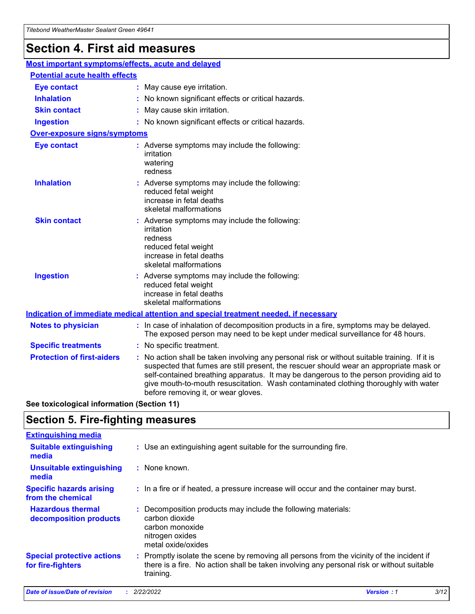## **Section 4. First aid measures**

| Most important symptoms/effects, acute and delayed |  |                                                                                                                                                                                                                                                                                                                                                                                                                 |  |
|----------------------------------------------------|--|-----------------------------------------------------------------------------------------------------------------------------------------------------------------------------------------------------------------------------------------------------------------------------------------------------------------------------------------------------------------------------------------------------------------|--|
| <b>Potential acute health effects</b>              |  |                                                                                                                                                                                                                                                                                                                                                                                                                 |  |
| <b>Eye contact</b>                                 |  | : May cause eye irritation.                                                                                                                                                                                                                                                                                                                                                                                     |  |
| <b>Inhalation</b>                                  |  | : No known significant effects or critical hazards.                                                                                                                                                                                                                                                                                                                                                             |  |
| <b>Skin contact</b>                                |  | : May cause skin irritation.                                                                                                                                                                                                                                                                                                                                                                                    |  |
| <b>Ingestion</b>                                   |  | : No known significant effects or critical hazards.                                                                                                                                                                                                                                                                                                                                                             |  |
| <b>Over-exposure signs/symptoms</b>                |  |                                                                                                                                                                                                                                                                                                                                                                                                                 |  |
| <b>Eye contact</b>                                 |  | : Adverse symptoms may include the following:<br>irritation<br>watering<br>redness                                                                                                                                                                                                                                                                                                                              |  |
| <b>Inhalation</b>                                  |  | : Adverse symptoms may include the following:<br>reduced fetal weight<br>increase in fetal deaths<br>skeletal malformations                                                                                                                                                                                                                                                                                     |  |
| <b>Skin contact</b>                                |  | : Adverse symptoms may include the following:<br>irritation<br>redness<br>reduced fetal weight<br>increase in fetal deaths<br>skeletal malformations                                                                                                                                                                                                                                                            |  |
| <b>Ingestion</b>                                   |  | : Adverse symptoms may include the following:<br>reduced fetal weight<br>increase in fetal deaths<br>skeletal malformations                                                                                                                                                                                                                                                                                     |  |
|                                                    |  | <b>Indication of immediate medical attention and special treatment needed, if necessary</b>                                                                                                                                                                                                                                                                                                                     |  |
| <b>Notes to physician</b>                          |  | : In case of inhalation of decomposition products in a fire, symptoms may be delayed.<br>The exposed person may need to be kept under medical surveillance for 48 hours.                                                                                                                                                                                                                                        |  |
| <b>Specific treatments</b>                         |  | : No specific treatment.                                                                                                                                                                                                                                                                                                                                                                                        |  |
| <b>Protection of first-aiders</b>                  |  | : No action shall be taken involving any personal risk or without suitable training. If it is<br>suspected that fumes are still present, the rescuer should wear an appropriate mask or<br>self-contained breathing apparatus. It may be dangerous to the person providing aid to<br>give mouth-to-mouth resuscitation. Wash contaminated clothing thoroughly with water<br>before removing it, or wear gloves. |  |

**See toxicological information (Section 11)**

### **Section 5. Fire-fighting measures**

| <b>Extinguishing media</b>                             |                                                                                                                                                                                                     |
|--------------------------------------------------------|-----------------------------------------------------------------------------------------------------------------------------------------------------------------------------------------------------|
| <b>Suitable extinguishing</b><br>media                 | : Use an extinguishing agent suitable for the surrounding fire.                                                                                                                                     |
| <b>Unsuitable extinguishing</b><br>media               | : None known.                                                                                                                                                                                       |
| <b>Specific hazards arising</b><br>from the chemical   | : In a fire or if heated, a pressure increase will occur and the container may burst.                                                                                                               |
| <b>Hazardous thermal</b><br>decomposition products     | : Decomposition products may include the following materials:<br>carbon dioxide<br>carbon monoxide<br>nitrogen oxides<br>metal oxide/oxides                                                         |
| <b>Special protective actions</b><br>for fire-fighters | : Promptly isolate the scene by removing all persons from the vicinity of the incident if<br>there is a fire. No action shall be taken involving any personal risk or without suitable<br>training. |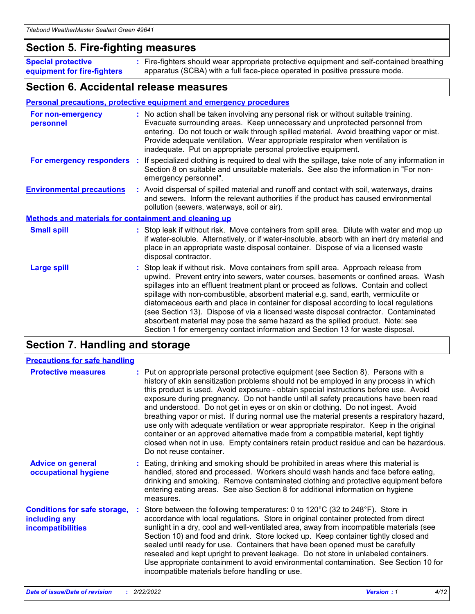### **Section 5. Fire-fighting measures**

**Special protective equipment for fire-fighters** Fire-fighters should wear appropriate protective equipment and self-contained breathing **:** apparatus (SCBA) with a full face-piece operated in positive pressure mode.

### **Section 6. Accidental release measures**

#### **Personal precautions, protective equipment and emergency procedures**

| For non-emergency<br>personnel                               |  | : No action shall be taken involving any personal risk or without suitable training.<br>Evacuate surrounding areas. Keep unnecessary and unprotected personnel from<br>entering. Do not touch or walk through spilled material. Avoid breathing vapor or mist.<br>Provide adequate ventilation. Wear appropriate respirator when ventilation is<br>inadequate. Put on appropriate personal protective equipment.                                                                                                                                                                                                                                                                                             |  |  |
|--------------------------------------------------------------|--|--------------------------------------------------------------------------------------------------------------------------------------------------------------------------------------------------------------------------------------------------------------------------------------------------------------------------------------------------------------------------------------------------------------------------------------------------------------------------------------------------------------------------------------------------------------------------------------------------------------------------------------------------------------------------------------------------------------|--|--|
| For emergency responders                                     |  | : If specialized clothing is required to deal with the spillage, take note of any information in<br>Section 8 on suitable and unsuitable materials. See also the information in "For non-<br>emergency personnel".                                                                                                                                                                                                                                                                                                                                                                                                                                                                                           |  |  |
| <b>Environmental precautions</b>                             |  | : Avoid dispersal of spilled material and runoff and contact with soil, waterways, drains<br>and sewers. Inform the relevant authorities if the product has caused environmental<br>pollution (sewers, waterways, soil or air).                                                                                                                                                                                                                                                                                                                                                                                                                                                                              |  |  |
| <b>Methods and materials for containment and cleaning up</b> |  |                                                                                                                                                                                                                                                                                                                                                                                                                                                                                                                                                                                                                                                                                                              |  |  |
| <b>Small spill</b>                                           |  | : Stop leak if without risk. Move containers from spill area. Dilute with water and mop up<br>if water-soluble. Alternatively, or if water-insoluble, absorb with an inert dry material and<br>place in an appropriate waste disposal container. Dispose of via a licensed waste<br>disposal contractor.                                                                                                                                                                                                                                                                                                                                                                                                     |  |  |
| <b>Large spill</b>                                           |  | : Stop leak if without risk. Move containers from spill area. Approach release from<br>upwind. Prevent entry into sewers, water courses, basements or confined areas. Wash<br>spillages into an effluent treatment plant or proceed as follows. Contain and collect<br>spillage with non-combustible, absorbent material e.g. sand, earth, vermiculite or<br>diatomaceous earth and place in container for disposal according to local regulations<br>(see Section 13). Dispose of via a licensed waste disposal contractor. Contaminated<br>absorbent material may pose the same hazard as the spilled product. Note: see<br>Section 1 for emergency contact information and Section 13 for waste disposal. |  |  |

### **Section 7. Handling and storage**

| <b>Precautions for safe handling</b>                                             |                                                                                                                                                                                                                                                                                                                                                                                                                                                                                                                                                                                                                                                                                                                                                                                                                                                  |
|----------------------------------------------------------------------------------|--------------------------------------------------------------------------------------------------------------------------------------------------------------------------------------------------------------------------------------------------------------------------------------------------------------------------------------------------------------------------------------------------------------------------------------------------------------------------------------------------------------------------------------------------------------------------------------------------------------------------------------------------------------------------------------------------------------------------------------------------------------------------------------------------------------------------------------------------|
| <b>Protective measures</b>                                                       | : Put on appropriate personal protective equipment (see Section 8). Persons with a<br>history of skin sensitization problems should not be employed in any process in which<br>this product is used. Avoid exposure - obtain special instructions before use. Avoid<br>exposure during pregnancy. Do not handle until all safety precautions have been read<br>and understood. Do not get in eyes or on skin or clothing. Do not ingest. Avoid<br>breathing vapor or mist. If during normal use the material presents a respiratory hazard,<br>use only with adequate ventilation or wear appropriate respirator. Keep in the original<br>container or an approved alternative made from a compatible material, kept tightly<br>closed when not in use. Empty containers retain product residue and can be hazardous.<br>Do not reuse container. |
| <b>Advice on general</b><br>occupational hygiene                                 | : Eating, drinking and smoking should be prohibited in areas where this material is<br>handled, stored and processed. Workers should wash hands and face before eating,<br>drinking and smoking. Remove contaminated clothing and protective equipment before<br>entering eating areas. See also Section 8 for additional information on hygiene<br>measures.                                                                                                                                                                                                                                                                                                                                                                                                                                                                                    |
| <b>Conditions for safe storage,</b><br>including any<br><b>incompatibilities</b> | Store between the following temperatures: 0 to 120°C (32 to 248°F). Store in<br>accordance with local regulations. Store in original container protected from direct<br>sunlight in a dry, cool and well-ventilated area, away from incompatible materials (see<br>Section 10) and food and drink. Store locked up. Keep container tightly closed and<br>sealed until ready for use. Containers that have been opened must be carefully<br>resealed and kept upright to prevent leakage. Do not store in unlabeled containers.<br>Use appropriate containment to avoid environmental contamination. See Section 10 for<br>incompatible materials before handling or use.                                                                                                                                                                         |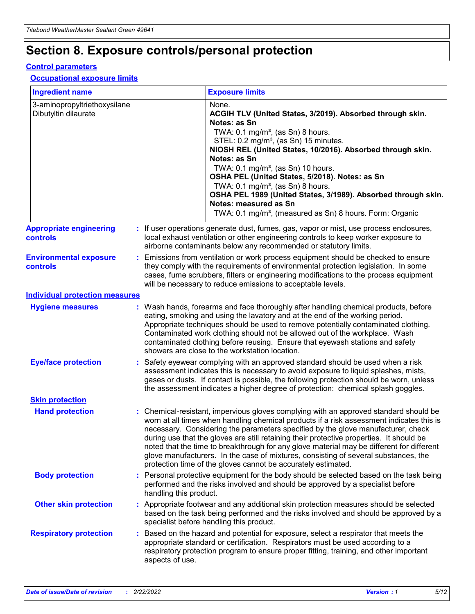## **Section 8. Exposure controls/personal protection**

#### **Control parameters**

#### **Occupational exposure limits**

| <b>Ingredient name</b>                               |    |                        | <b>Exposure limits</b>                                                                                                                                                                                                                                                                                                                                                                                                                                                                                                                                                                                                 |
|------------------------------------------------------|----|------------------------|------------------------------------------------------------------------------------------------------------------------------------------------------------------------------------------------------------------------------------------------------------------------------------------------------------------------------------------------------------------------------------------------------------------------------------------------------------------------------------------------------------------------------------------------------------------------------------------------------------------------|
| 3-aminopropyltriethoxysilane<br>Dibutyltin dilaurate |    |                        | None.<br>ACGIH TLV (United States, 3/2019). Absorbed through skin.<br>Notes: as Sn<br>TWA: $0.1 \text{ mg/m}^3$ , (as Sn) 8 hours.<br>STEL: 0.2 mg/m <sup>3</sup> , (as Sn) 15 minutes.<br>NIOSH REL (United States, 10/2016). Absorbed through skin.<br>Notes: as Sn<br>TWA: 0.1 mg/m <sup>3</sup> , (as Sn) 10 hours.<br>OSHA PEL (United States, 5/2018). Notes: as Sn<br>TWA: $0.1 \text{ mg/m}^3$ , (as Sn) 8 hours.<br>OSHA PEL 1989 (United States, 3/1989). Absorbed through skin.<br>Notes: measured as Sn<br>TWA: 0.1 mg/m <sup>3</sup> , (measured as Sn) 8 hours. Form: Organic                            |
| <b>Appropriate engineering</b><br>controls           |    |                        | : If user operations generate dust, fumes, gas, vapor or mist, use process enclosures,<br>local exhaust ventilation or other engineering controls to keep worker exposure to<br>airborne contaminants below any recommended or statutory limits.                                                                                                                                                                                                                                                                                                                                                                       |
| <b>Environmental exposure</b><br>controls            |    |                        | Emissions from ventilation or work process equipment should be checked to ensure<br>they comply with the requirements of environmental protection legislation. In some<br>cases, fume scrubbers, filters or engineering modifications to the process equipment<br>will be necessary to reduce emissions to acceptable levels.                                                                                                                                                                                                                                                                                          |
| <b>Individual protection measures</b>                |    |                        |                                                                                                                                                                                                                                                                                                                                                                                                                                                                                                                                                                                                                        |
| <b>Hygiene measures</b>                              |    |                        | : Wash hands, forearms and face thoroughly after handling chemical products, before<br>eating, smoking and using the lavatory and at the end of the working period.<br>Appropriate techniques should be used to remove potentially contaminated clothing.<br>Contaminated work clothing should not be allowed out of the workplace. Wash<br>contaminated clothing before reusing. Ensure that eyewash stations and safety<br>showers are close to the workstation location.                                                                                                                                            |
| <b>Eye/face protection</b>                           |    |                        | : Safety eyewear complying with an approved standard should be used when a risk<br>assessment indicates this is necessary to avoid exposure to liquid splashes, mists,<br>gases or dusts. If contact is possible, the following protection should be worn, unless<br>the assessment indicates a higher degree of protection: chemical splash goggles.                                                                                                                                                                                                                                                                  |
| <b>Skin protection</b>                               |    |                        |                                                                                                                                                                                                                                                                                                                                                                                                                                                                                                                                                                                                                        |
| <b>Hand protection</b>                               |    |                        | : Chemical-resistant, impervious gloves complying with an approved standard should be<br>worn at all times when handling chemical products if a risk assessment indicates this is<br>necessary. Considering the parameters specified by the glove manufacturer, check<br>during use that the gloves are still retaining their protective properties. It should be<br>noted that the time to breakthrough for any glove material may be different for different<br>glove manufacturers. In the case of mixtures, consisting of several substances, the<br>protection time of the gloves cannot be accurately estimated. |
| <b>Body protection</b>                               |    | handling this product. | Personal protective equipment for the body should be selected based on the task being<br>performed and the risks involved and should be approved by a specialist before                                                                                                                                                                                                                                                                                                                                                                                                                                                |
| <b>Other skin protection</b>                         |    |                        | : Appropriate footwear and any additional skin protection measures should be selected<br>based on the task being performed and the risks involved and should be approved by a<br>specialist before handling this product.                                                                                                                                                                                                                                                                                                                                                                                              |
| <b>Respiratory protection</b>                        | ÷. | aspects of use.        | Based on the hazard and potential for exposure, select a respirator that meets the<br>appropriate standard or certification. Respirators must be used according to a<br>respiratory protection program to ensure proper fitting, training, and other important                                                                                                                                                                                                                                                                                                                                                         |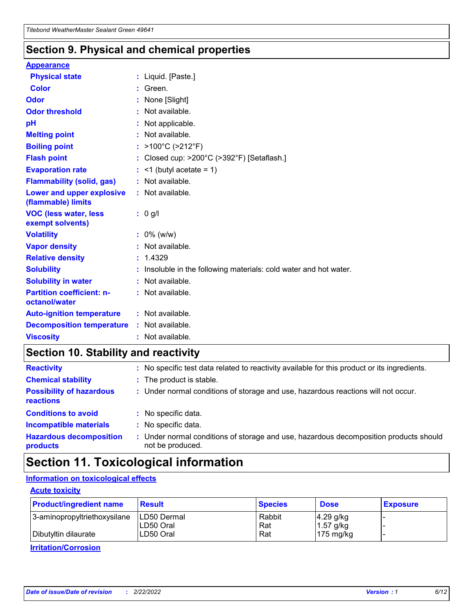### **Section 9. Physical and chemical properties**

#### **Appearance**

| <b>Physical state</b>                             | : Liquid. [Paste.]                                              |
|---------------------------------------------------|-----------------------------------------------------------------|
| Color                                             | Green.                                                          |
| Odor                                              | : None [Slight]                                                 |
| <b>Odor threshold</b>                             | $:$ Not available.                                              |
| рH                                                | : Not applicable.                                               |
| <b>Melting point</b>                              | : Not available.                                                |
| <b>Boiling point</b>                              | : >100°C (>212°F)                                               |
| <b>Flash point</b>                                | : Closed cup: $>200^{\circ}$ C ( $>392^{\circ}$ F) [Setaflash.] |
| <b>Evaporation rate</b>                           | $:$ <1 (butyl acetate = 1)                                      |
| <b>Flammability (solid, gas)</b>                  | : Not available.                                                |
| Lower and upper explosive<br>(flammable) limits   | : Not available.                                                |
| <b>VOC (less water, less</b>                      | $: 0$ g/l                                                       |
| exempt solvents)                                  |                                                                 |
| <b>Volatility</b>                                 | $: 0\%$ (w/w)                                                   |
| <b>Vapor density</b>                              | : Not available.                                                |
| <b>Relative density</b>                           | : 1.4329                                                        |
| <b>Solubility</b>                                 | Insoluble in the following materials: cold water and hot water. |
| <b>Solubility in water</b>                        | : Not available.                                                |
| <b>Partition coefficient: n-</b><br>octanol/water | $:$ Not available.                                              |
| <b>Auto-ignition temperature</b>                  | : Not available.                                                |
| <b>Decomposition temperature</b>                  | : Not available.                                                |

### **Section 10. Stability and reactivity**

| <b>Reactivity</b>                            | : No specific test data related to reactivity available for this product or its ingredients.            |
|----------------------------------------------|---------------------------------------------------------------------------------------------------------|
| <b>Chemical stability</b>                    | : The product is stable.                                                                                |
| <b>Possibility of hazardous</b><br>reactions | : Under normal conditions of storage and use, hazardous reactions will not occur.                       |
| <b>Conditions to avoid</b>                   | : No specific data.                                                                                     |
| <b>Incompatible materials</b>                | : No specific data.                                                                                     |
| <b>Hazardous decomposition</b><br>products   | Under normal conditions of storage and use, hazardous decomposition products should<br>not be produced. |

### **Section 11. Toxicological information**

### **Information on toxicological effects**

#### **Acute toxicity**

| <b>Product/ingredient name</b> | <b>Result</b>           | <b>Species</b> | <b>Dose</b>                | <b>Exposure</b> |
|--------------------------------|-------------------------|----------------|----------------------------|-----------------|
| 3-aminopropyltriethoxysilane   | <b>ILD50 Dermal</b>     | Rabbit         | 4.29 g/kg                  |                 |
| Dibutyltin dilaurate           | ILD50 Oral<br>LD50 Oral | Rat<br>Rat     | $1.57$ g/kg<br>175 $mg/kg$ |                 |
|                                |                         |                |                            |                 |

**Irritation/Corrosion**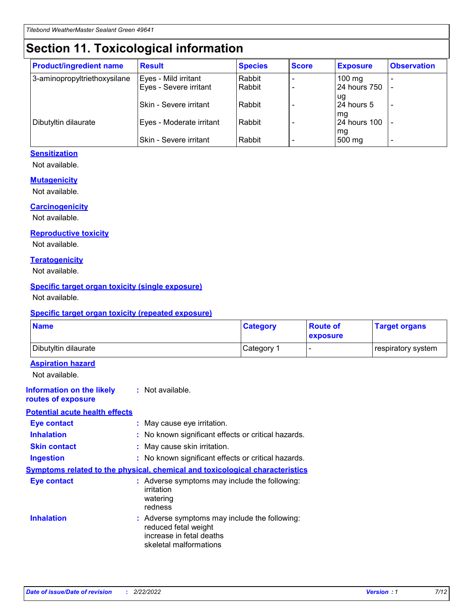## **Section 11. Toxicological information**

| <b>Product/ingredient name</b> | <b>Result</b>            | <b>Species</b> | <b>Score</b> | <b>Exposure</b>           | <b>Observation</b> |
|--------------------------------|--------------------------|----------------|--------------|---------------------------|--------------------|
| 3-aminopropyltriethoxysilane   | Eyes - Mild irritant     | Rabbit         |              | $100$ mg                  |                    |
|                                | Eyes - Severe irritant   | Rabbit         |              | 24 hours 750              |                    |
|                                |                          |                |              | ug                        |                    |
|                                | Skin - Severe irritant   | Rabbit         |              | 24 hours 5                | -                  |
| Dibutyltin dilaurate           | Eyes - Moderate irritant | Rabbit         |              | mq<br><b>24 hours 100</b> |                    |
|                                |                          |                |              | mg                        |                    |
|                                | Skin - Severe irritant   | Rabbit         |              | 500 mg                    |                    |

#### **Sensitization**

Not available.

#### **Mutagenicity**

Not available.

#### **Carcinogenicity**

Not available.

#### **Reproductive toxicity**

Not available.

#### **Teratogenicity**

Not available.

#### **Specific target organ toxicity (single exposure)**

Not available.

#### **Specific target organ toxicity (repeated exposure)**

| <b>Name</b>                                                                         |                                                                            | <b>Category</b>                                     | <b>Route of</b><br>exposure | <b>Target organs</b> |
|-------------------------------------------------------------------------------------|----------------------------------------------------------------------------|-----------------------------------------------------|-----------------------------|----------------------|
| Dibutyltin dilaurate                                                                |                                                                            | Category 1                                          |                             | respiratory system   |
| <b>Aspiration hazard</b><br>Not available.                                          |                                                                            |                                                     |                             |                      |
| <b>Information on the likely</b><br>routes of exposure                              | : Not available.                                                           |                                                     |                             |                      |
| <b>Potential acute health effects</b>                                               |                                                                            |                                                     |                             |                      |
| <b>Eye contact</b>                                                                  | : May cause eye irritation.                                                |                                                     |                             |                      |
| <b>Inhalation</b>                                                                   |                                                                            | : No known significant effects or critical hazards. |                             |                      |
| <b>Skin contact</b>                                                                 | : May cause skin irritation.                                               |                                                     |                             |                      |
| <b>Ingestion</b>                                                                    |                                                                            | : No known significant effects or critical hazards. |                             |                      |
| <b>Symptoms related to the physical, chemical and toxicological characteristics</b> |                                                                            |                                                     |                             |                      |
| <b>Eye contact</b>                                                                  | irritation<br>watering<br>redness                                          | : Adverse symptoms may include the following:       |                             |                      |
| <b>Inhalation</b>                                                                   | reduced fetal weight<br>increase in fetal deaths<br>skeletal malformations | : Adverse symptoms may include the following:       |                             |                      |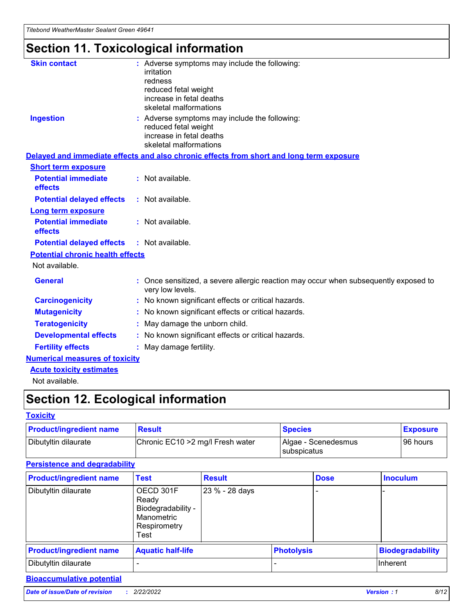## **Section 11. Toxicological information**

| <b>Skin contact</b>                     | : Adverse symptoms may include the following:<br>irritation<br>redness<br>reduced fetal weight<br>increase in fetal deaths<br>skeletal malformations |  |
|-----------------------------------------|------------------------------------------------------------------------------------------------------------------------------------------------------|--|
| <b>Ingestion</b>                        | : Adverse symptoms may include the following:<br>reduced fetal weight<br>increase in fetal deaths<br>skeletal malformations                          |  |
|                                         | Delayed and immediate effects and also chronic effects from short and long term exposure                                                             |  |
| <b>Short term exposure</b>              |                                                                                                                                                      |  |
| <b>Potential immediate</b><br>effects   | : Not available.                                                                                                                                     |  |
| <b>Potential delayed effects</b>        | : Not available.                                                                                                                                     |  |
| <b>Long term exposure</b>               |                                                                                                                                                      |  |
| <b>Potential immediate</b><br>effects   | : Not available.                                                                                                                                     |  |
| <b>Potential delayed effects</b>        | : Not available.                                                                                                                                     |  |
| <b>Potential chronic health effects</b> |                                                                                                                                                      |  |
| Not available.                          |                                                                                                                                                      |  |
| <b>General</b>                          | : Once sensitized, a severe allergic reaction may occur when subsequently exposed to<br>very low levels.                                             |  |
| <b>Carcinogenicity</b>                  | : No known significant effects or critical hazards.                                                                                                  |  |
| <b>Mutagenicity</b>                     | : No known significant effects or critical hazards.                                                                                                  |  |
| <b>Teratogenicity</b>                   | May damage the unborn child.                                                                                                                         |  |
| <b>Developmental effects</b>            | : No known significant effects or critical hazards.                                                                                                  |  |
| <b>Fertility effects</b>                | May damage fertility.                                                                                                                                |  |
| <b>Numerical measures of toxicity</b>   |                                                                                                                                                      |  |
| <b>Acute toxicity estimates</b>         |                                                                                                                                                      |  |
| الملحلة والمستحقق فالمرابط              |                                                                                                                                                      |  |

Not available.

## **Section 12. Ecological information**

#### **Toxicity**

| <b>Product/ingredient name</b> | <b>Result</b>                     | <b>Species</b>                       | <b>Exposure</b> |
|--------------------------------|-----------------------------------|--------------------------------------|-----------------|
| Dibutyltin dilaurate           | Chronic EC10 > 2 mg/l Fresh water | Algae - Scenedesmus<br>I subspicatus | l 96 hours i    |

### **Persistence and degradability**

| <b>Product/ingredient name</b> | <b>Test</b>                                                                    | <b>Result</b>  |                   | <b>Dose</b> | <b>Inoculum</b>         |
|--------------------------------|--------------------------------------------------------------------------------|----------------|-------------------|-------------|-------------------------|
| Dibutyltin dilaurate           | OECD 301F<br>Ready<br>Biodegradability -<br>Manometric<br>Respirometry<br>Test | 23 % - 28 days |                   |             |                         |
| <b>Product/ingredient name</b> | <b>Aquatic half-life</b>                                                       |                | <b>Photolysis</b> |             | <b>Biodegradability</b> |
| Dibutyltin dilaurate           |                                                                                |                |                   |             | Inherent                |

### **Bioaccumulative potential**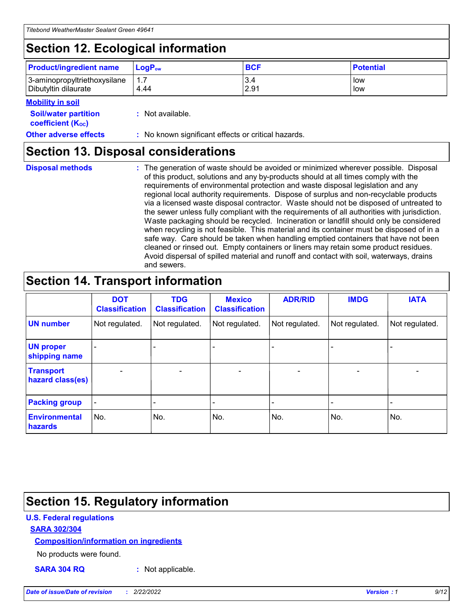## **Section 12. Ecological information**

| <b>Product/ingredient name</b> | $LoaPow$ | <b>BCF</b> | <b>Potential</b> |
|--------------------------------|----------|------------|------------------|
| 3-aminopropyltriethoxysilane   | 1.7      | 3.4        | low              |
| Dibutyltin dilaurate           | 4.44     | 2.91       | low              |

#### **Mobility in soil**

| <i></i>                                                       |                                                     |
|---------------------------------------------------------------|-----------------------------------------------------|
| <b>Soil/water partition</b><br>coefficient (K <sub>oc</sub> ) | : Not available.                                    |
| <b>Other adverse effects</b>                                  | : No known significant effects or critical hazards. |

### **Section 13. Disposal considerations**

**Disposal methods :**

The generation of waste should be avoided or minimized wherever possible. Disposal of this product, solutions and any by-products should at all times comply with the requirements of environmental protection and waste disposal legislation and any regional local authority requirements. Dispose of surplus and non-recyclable products via a licensed waste disposal contractor. Waste should not be disposed of untreated to the sewer unless fully compliant with the requirements of all authorities with jurisdiction. Waste packaging should be recycled. Incineration or landfill should only be considered when recycling is not feasible. This material and its container must be disposed of in a safe way. Care should be taken when handling emptied containers that have not been cleaned or rinsed out. Empty containers or liners may retain some product residues. Avoid dispersal of spilled material and runoff and contact with soil, waterways, drains and sewers.

## **Section 14. Transport information**

|                                      | <b>DOT</b><br><b>Classification</b> | <b>TDG</b><br><b>Classification</b> | <b>Mexico</b><br><b>Classification</b> | <b>ADR/RID</b>           | <b>IMDG</b>              | <b>IATA</b>              |
|--------------------------------------|-------------------------------------|-------------------------------------|----------------------------------------|--------------------------|--------------------------|--------------------------|
| <b>UN number</b>                     | Not regulated.                      | Not regulated.                      | Not regulated.                         | Not regulated.           | Not regulated.           | Not regulated.           |
| <b>UN proper</b><br>shipping name    | $\qquad \qquad \blacksquare$        |                                     |                                        |                          |                          |                          |
| <b>Transport</b><br>hazard class(es) | $\blacksquare$                      | $\blacksquare$                      | $\blacksquare$                         | $\overline{\phantom{a}}$ | $\blacksquare$           | $\blacksquare$           |
| <b>Packing group</b>                 | $\overline{\phantom{a}}$            | $\overline{\phantom{0}}$            | $\qquad \qquad \blacksquare$           | -                        | $\overline{\phantom{0}}$ | $\overline{\phantom{a}}$ |
| <b>Environmental</b><br>hazards      | No.                                 | No.                                 | No.                                    | No.                      | No.                      | No.                      |

## **Section 15. Regulatory information**

#### **U.S. Federal regulations**

#### **SARA 302/304**

#### **Composition/information on ingredients**

No products were found.

**SARA 304 RQ :** Not applicable.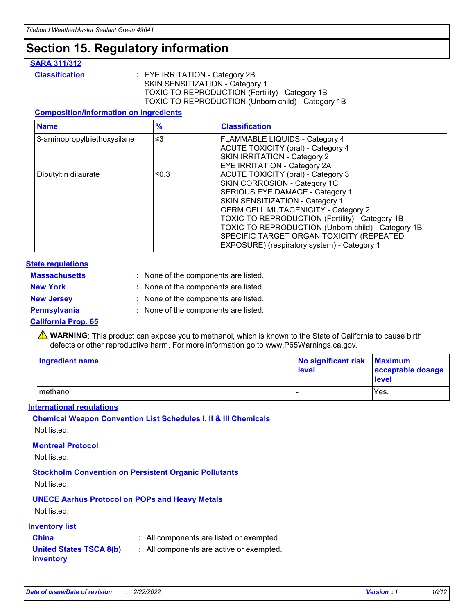## **Section 15. Regulatory information**

#### **SARA 311/312**

**Classification :** EYE IRRITATION - Category 2B SKIN SENSITIZATION - Category 1 TOXIC TO REPRODUCTION (Fertility) - Category 1B TOXIC TO REPRODUCTION (Unborn child) - Category 1B

#### **Composition/information on ingredients**

| <b>Name</b>                  | $\frac{9}{6}$ | <b>Classification</b>                                                                                            |
|------------------------------|---------------|------------------------------------------------------------------------------------------------------------------|
| 3-aminopropyltriethoxysilane | $\leq$ 3      | <b>FLAMMABLE LIQUIDS - Category 4</b><br><b>ACUTE TOXICITY (oral) - Category 4</b>                               |
|                              |               | SKIN IRRITATION - Category 2<br><b>EYE IRRITATION - Category 2A</b>                                              |
| Dibutyltin dilaurate         | ≤0.3          | ACUTE TOXICITY (oral) - Category 3<br>SKIN CORROSION - Category 1C                                               |
|                              |               | SERIOUS EYE DAMAGE - Category 1<br>SKIN SENSITIZATION - Category 1<br><b>GERM CELL MUTAGENICITY - Category 2</b> |
|                              |               | TOXIC TO REPRODUCTION (Fertility) - Category 1B<br>TOXIC TO REPRODUCTION (Unborn child) - Category 1B            |
|                              |               | SPECIFIC TARGET ORGAN TOXICITY (REPEATED<br>EXPOSURE) (respiratory system) - Category 1                          |

#### **State regulations**

| <b>Massachusetts</b> | : None of the components are listed. |
|----------------------|--------------------------------------|
| <b>New York</b>      | : None of the components are listed. |
| <b>New Jersey</b>    | : None of the components are listed. |
| <b>Pennsylvania</b>  | : None of the components are listed. |

#### **California Prop. 65**

**A** WARNING: This product can expose you to methanol, which is known to the State of California to cause birth defects or other reproductive harm. For more information go to www.P65Warnings.ca.gov.

| <b>Ingredient name</b> | No significant risk Maximum<br>level | acceptable dosage<br>level |
|------------------------|--------------------------------------|----------------------------|
| methanol               |                                      | Yes.                       |

#### **International regulations**

**Chemical Weapon Convention List Schedules I, II & III Chemicals** Not listed.

#### **Montreal Protocol**

Not listed.

**Stockholm Convention on Persistent Organic Pollutants**

Not listed.

### **UNECE Aarhus Protocol on POPs and Heavy Metals**

Not listed.

#### **Inventory list**

### **China :** All components are listed or exempted.

**United States TSCA 8(b) inventory :** All components are active or exempted.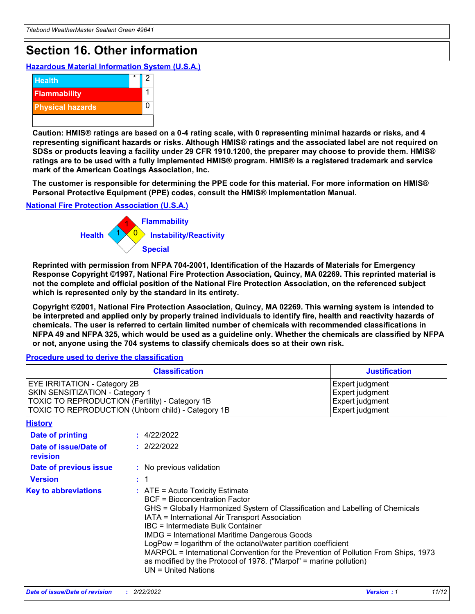## **Section 16. Other information**

**Hazardous Material Information System (U.S.A.)**



**Caution: HMIS® ratings are based on a 0-4 rating scale, with 0 representing minimal hazards or risks, and 4 representing significant hazards or risks. Although HMIS® ratings and the associated label are not required on SDSs or products leaving a facility under 29 CFR 1910.1200, the preparer may choose to provide them. HMIS® ratings are to be used with a fully implemented HMIS® program. HMIS® is a registered trademark and service mark of the American Coatings Association, Inc.**

**The customer is responsible for determining the PPE code for this material. For more information on HMIS® Personal Protective Equipment (PPE) codes, consult the HMIS® Implementation Manual.**

#### **National Fire Protection Association (U.S.A.)**



**Reprinted with permission from NFPA 704-2001, Identification of the Hazards of Materials for Emergency Response Copyright ©1997, National Fire Protection Association, Quincy, MA 02269. This reprinted material is not the complete and official position of the National Fire Protection Association, on the referenced subject which is represented only by the standard in its entirety.**

**Copyright ©2001, National Fire Protection Association, Quincy, MA 02269. This warning system is intended to be interpreted and applied only by properly trained individuals to identify fire, health and reactivity hazards of chemicals. The user is referred to certain limited number of chemicals with recommended classifications in NFPA 49 and NFPA 325, which would be used as a guideline only. Whether the chemicals are classified by NFPA or not, anyone using the 704 systems to classify chemicals does so at their own risk.**

#### **Procedure used to derive the classification**

| <b>Classification</b>                                                                                                                                                    |  |                                                                                                                                                                                                                                                                                                                                                                                                                                                                                                                                                                          | <b>Justification</b> |
|--------------------------------------------------------------------------------------------------------------------------------------------------------------------------|--|--------------------------------------------------------------------------------------------------------------------------------------------------------------------------------------------------------------------------------------------------------------------------------------------------------------------------------------------------------------------------------------------------------------------------------------------------------------------------------------------------------------------------------------------------------------------------|----------------------|
| EYE IRRITATION - Category 2B<br>SKIN SENSITIZATION - Category 1<br>TOXIC TO REPRODUCTION (Fertility) - Category 1B<br>TOXIC TO REPRODUCTION (Unborn child) - Category 1B |  | Expert judgment<br>Expert judgment<br>Expert judgment<br>Expert judgment                                                                                                                                                                                                                                                                                                                                                                                                                                                                                                 |                      |
| <b>History</b>                                                                                                                                                           |  |                                                                                                                                                                                                                                                                                                                                                                                                                                                                                                                                                                          |                      |
| <b>Date of printing</b>                                                                                                                                                  |  | : 4/22/2022                                                                                                                                                                                                                                                                                                                                                                                                                                                                                                                                                              |                      |
| Date of issue/Date of<br>revision                                                                                                                                        |  | : 2/22/2022                                                                                                                                                                                                                                                                                                                                                                                                                                                                                                                                                              |                      |
| Date of previous issue                                                                                                                                                   |  | : No previous validation                                                                                                                                                                                                                                                                                                                                                                                                                                                                                                                                                 |                      |
| <b>Version</b>                                                                                                                                                           |  | $\therefore$ 1                                                                                                                                                                                                                                                                                                                                                                                                                                                                                                                                                           |                      |
| <b>Key to abbreviations</b>                                                                                                                                              |  | $\therefore$ ATE = Acute Toxicity Estimate<br><b>BCF = Bioconcentration Factor</b><br>GHS = Globally Harmonized System of Classification and Labelling of Chemicals<br>IATA = International Air Transport Association<br>IBC = Intermediate Bulk Container<br><b>IMDG = International Maritime Dangerous Goods</b><br>LogPow = logarithm of the octanol/water partition coefficient<br>MARPOL = International Convention for the Prevention of Pollution From Ships, 1973<br>as modified by the Protocol of 1978. ("Marpol" = marine pollution)<br>$UN = United Nations$ |                      |